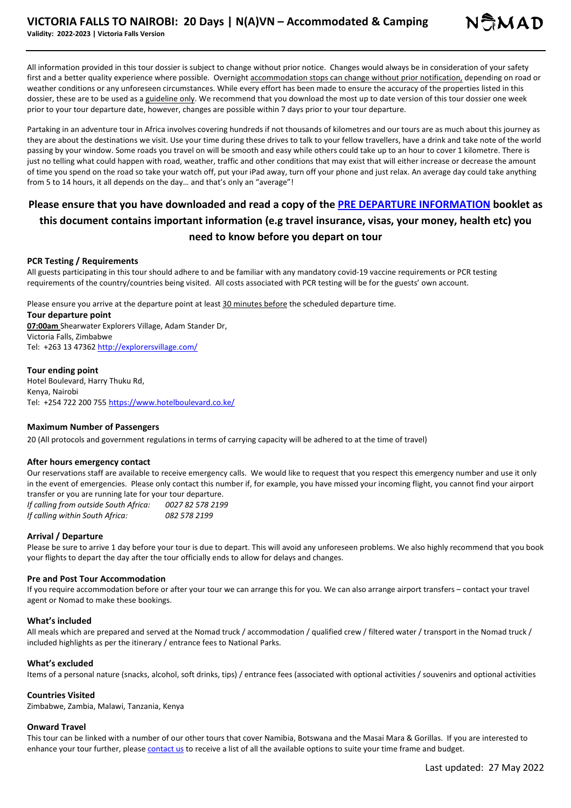All information provided in this tour dossier is subject to change without prior notice. Changes would always be in consideration of your safety first and a better quality experience where possible. Overnight accommodation stops can change without prior notification, depending on road or weather conditions or any unforeseen circumstances. While every effort has been made to ensure the accuracy of the properties listed in this dossier, these are to be used as a guideline only. We recommend that you download the most up to date version of this tour dossier one week prior to your tour departure date, however, changes are possible within 7 days prior to your tour departure.

Partaking in an adventure tour in Africa involves covering hundreds if not thousands of kilometres and our tours are as much about this journey as they are about the destinations we visit. Use your time during these drives to talk to your fellow travellers, have a drink and take note of the world passing by your window. Some roads you travel on will be smooth and easy while others could take up to an hour to cover 1 kilometre. There is just no telling what could happen with road, weather, traffic and other conditions that may exist that will either increase or decrease the amount of time you spend on the road so take your watch off, put your iPad away, turn off your phone and just relax. An average day could take anything from 5 to 14 hours, it all depends on the day… and that's only an "average"!

# **Please ensure that you have downloaded and read a copy of the PRE DEPARTURE INFORMATION booklet as this document contains important information (e.g travel insurance, visas, your money, health etc) you need to know before you depart on tour**

## **PCR Testing / Requirements**

All guests participating in this tour should adhere to and be familiar with any mandatory covid-19 vaccine requirements or PCR testing requirements of the country/countries being visited. All costs associated with PCR testing will be for the guests' own account.

Please ensure you arrive at the departure point at least 30 minutes before the scheduled departure time.

#### **Tour departure point**

**07:00am** Shearwater Explorers Village, Adam Stander Dr, Victoria Falls, Zimbabwe Tel: +263 13 47362 http://explorersvillage.com/

#### **Tour ending point**

Hotel Boulevard, Harry Thuku Rd, Kenya, Nairobi Tel: +254 722 200 755 https://www.hotelboulevard.co.ke/

## **Maximum Number of Passengers**

20 (All protocols and government regulations in terms of carrying capacity will be adhered to at the time of travel)

## **After hours emergency contact**

Our reservations staff are available to receive emergency calls. We would like to request that you respect this emergency number and use it only in the event of emergencies. Please only contact this number if, for example, you have missed your incoming flight, you cannot find your airport transfer or you are running late for your tour departure.

*If calling from outside South Africa: 0027 82 578 2199 If calling within South Africa: 082 578 2199*

## **Arrival / Departure**

Please be sure to arrive 1 day before your tour is due to depart. This will avoid any unforeseen problems. We also highly recommend that you book your flights to depart the day after the tour officially ends to allow for delays and changes.

## **Pre and Post Tour Accommodation**

If you require accommodation before or after your tour we can arrange this for you. We can also arrange airport transfers – contact your travel agent or Nomad to make these bookings.

#### **What's included**

All meals which are prepared and served at the Nomad truck / accommodation / qualified crew / filtered water / transport in the Nomad truck / included highlights as per the itinerary / entrance fees to National Parks.

#### **What's excluded**

Items of a personal nature (snacks, alcohol, soft drinks, tips) / entrance fees (associated with optional activities / souvenirs and optional activities

#### **Countries Visited**

Zimbabwe, Zambia, Malawi, Tanzania, Kenya

#### **Onward Travel**

This tour can be linked with a number of our other tours that cover Namibia, Botswana and the Masai Mara & Gorillas. If you are interested to enhance your tour further, please contact us to receive a list of all the available options to suite your time frame and budget.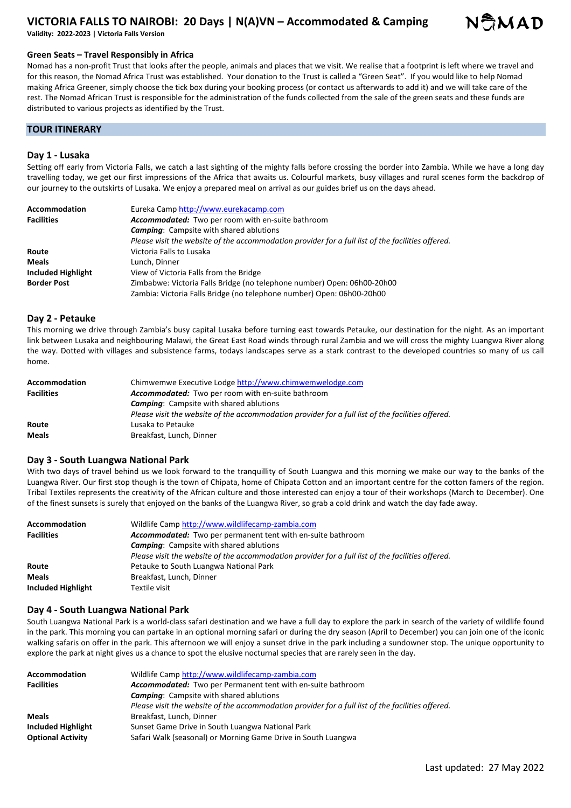

**Validity: 2022-2023 | Victoria Falls Version** 

#### **Green Seats – Travel Responsibly in Africa**

Nomad has a non-profit Trust that looks after the people, animals and places that we visit. We realise that a footprint is left where we travel and for this reason, the Nomad Africa Trust was established. Your donation to the Trust is called a "Green Seat". If you would like to help Nomad making Africa Greener, simply choose the tick box during your booking process (or contact us afterwards to add it) and we will take care of the rest. The Nomad African Trust is responsible for the administration of the funds collected from the sale of the green seats and these funds are distributed to various projects as identified by the Trust.

## **TOUR ITINERARY**

#### **Day 1 - Lusaka**

Setting off early from Victoria Falls, we catch a last sighting of the mighty falls before crossing the border into Zambia. While we have a long day travelling today, we get our first impressions of the Africa that awaits us. Colourful markets, busy villages and rural scenes form the backdrop of our journey to the outskirts of Lusaka. We enjoy a prepared meal on arrival as our guides brief us on the days ahead.

| Accommodation      | Eureka Camp http://www.eurekacamp.com                                                             |
|--------------------|---------------------------------------------------------------------------------------------------|
| <b>Facilities</b>  | Accommodated: Two per room with en-suite bathroom                                                 |
|                    | <b>Camping:</b> Campsite with shared ablutions                                                    |
|                    | Please visit the website of the accommodation provider for a full list of the facilities offered. |
| Route              | Victoria Falls to Lusaka                                                                          |
| Meals              | Lunch. Dinner                                                                                     |
| Included Highlight | View of Victoria Falls from the Bridge                                                            |
| <b>Border Post</b> | Zimbabwe: Victoria Falls Bridge (no telephone number) Open: 06h00-20h00                           |
|                    | Zambia: Victoria Falls Bridge (no telephone number) Open: 06h00-20h00                             |

#### **Day 2 - Petauke**

This morning we drive through Zambia's busy capital Lusaka before turning east towards Petauke, our destination for the night. As an important link between Lusaka and neighbouring Malawi, the Great East Road winds through rural Zambia and we will cross the mighty Luangwa River along the way. Dotted with villages and subsistence farms, todays landscapes serve as a stark contrast to the developed countries so many of us call home.

| Accommodation     | Chimwemwe Executive Lodge http://www.chimwemwelodge.com                                           |
|-------------------|---------------------------------------------------------------------------------------------------|
| <b>Facilities</b> | Accommodated: Two per room with en-suite bathroom                                                 |
|                   | <b>Camping:</b> Campsite with shared ablutions                                                    |
|                   | Please visit the website of the accommodation provider for a full list of the facilities offered. |
| Route             | Lusaka to Petauke                                                                                 |
| <b>Meals</b>      | Breakfast, Lunch, Dinner                                                                          |

#### **Day 3 - South Luangwa National Park**

With two days of travel behind us we look forward to the tranquillity of South Luangwa and this morning we make our way to the banks of the Luangwa River. Our first stop though is the town of Chipata, home of Chipata Cotton and an important centre for the cotton famers of the region. Tribal Textiles represents the creativity of the African culture and those interested can enjoy a tour of their workshops (March to December). One of the finest sunsets is surely that enjoyed on the banks of the Luangwa River, so grab a cold drink and watch the day fade away.

| <b>Accommodation</b>      | Wildlife Camp http://www.wildlifecamp-zambia.com                                                  |
|---------------------------|---------------------------------------------------------------------------------------------------|
| <b>Facilities</b>         | Accommodated: Two per permanent tent with en-suite bathroom                                       |
|                           | <b>Camping:</b> Campsite with shared ablutions                                                    |
|                           | Please visit the website of the accommodation provider for a full list of the facilities offered. |
| Route                     | Petauke to South Luangwa National Park                                                            |
| <b>Meals</b>              | Breakfast, Lunch, Dinner                                                                          |
| <b>Included Highlight</b> | Textile visit                                                                                     |

#### **Day 4 - South Luangwa National Park**

South Luangwa National Park is a world-class safari destination and we have a full day to explore the park in search of the variety of wildlife found in the park. This morning you can partake in an optional morning safari or during the dry season (April to December) you can join one of the iconic walking safaris on offer in the park. This afternoon we will enjoy a sunset drive in the park including a sundowner stop. The unique opportunity to explore the park at night gives us a chance to spot the elusive nocturnal species that are rarely seen in the day.

| <b>Accommodation</b>     | Wildlife Camp http://www.wildlifecamp-zambia.com                                                  |
|--------------------------|---------------------------------------------------------------------------------------------------|
| <b>Facilities</b>        | Accommodated: Two per Permanent tent with en-suite bathroom                                       |
|                          | <b>Camping:</b> Campsite with shared ablutions                                                    |
|                          | Please visit the website of the accommodation provider for a full list of the facilities offered. |
| <b>Meals</b>             | Breakfast, Lunch, Dinner                                                                          |
| Included Highlight       | Sunset Game Drive in South Luangwa National Park                                                  |
| <b>Optional Activity</b> | Safari Walk (seasonal) or Morning Game Drive in South Luangwa                                     |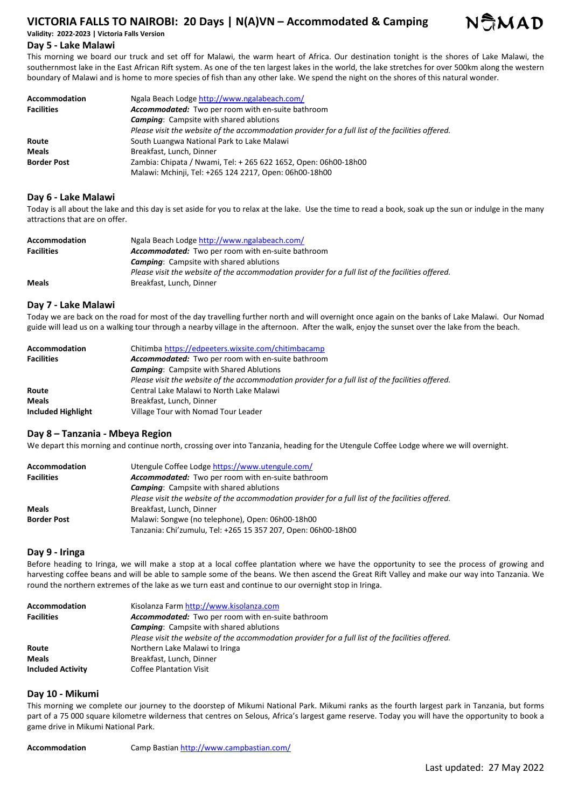**Validity: 2022-2023 | Victoria Falls Version** 

## **Day 5 - Lake Malawi**

This morning we board our truck and set off for Malawi, the warm heart of Africa. Our destination tonight is the shores of Lake Malawi, the southernmost lake in the East African Rift system. As one of the ten largest lakes in the world, the lake stretches for over 500km along the western boundary of Malawi and is home to more species of fish than any other lake. We spend the night on the shores of this natural wonder.

| Accommodation      | Ngala Beach Lodge http://www.ngalabeach.com/                                                      |
|--------------------|---------------------------------------------------------------------------------------------------|
| <b>Facilities</b>  | Accommodated: Two per room with en-suite bathroom                                                 |
|                    | <b>Camping:</b> Campsite with shared ablutions                                                    |
|                    | Please visit the website of the accommodation provider for a full list of the facilities offered. |
| Route              | South Luangwa National Park to Lake Malawi                                                        |
| <b>Meals</b>       | Breakfast, Lunch, Dinner                                                                          |
| <b>Border Post</b> | Zambia: Chipata / Nwami, Tel: + 265 622 1652, Open: 06h00-18h00                                   |
|                    | Malawi: Mchinji, Tel: +265 124 2217, Open: 06h00-18h00                                            |

## **Day 6 - Lake Malawi**

Today is all about the lake and this day is set aside for you to relax at the lake. Use the time to read a book, soak up the sun or indulge in the many attractions that are on offer.

| <b>Accommodation</b> | Ngala Beach Lodge http://www.ngalabeach.com/                                                      |
|----------------------|---------------------------------------------------------------------------------------------------|
| <b>Facilities</b>    | Accommodated: Two per room with en-suite bathroom                                                 |
|                      | <b>Camping:</b> Campsite with shared ablutions                                                    |
|                      | Please visit the website of the accommodation provider for a full list of the facilities offered. |
| <b>Meals</b>         | Breakfast, Lunch, Dinner                                                                          |

## **Day 7 - Lake Malawi**

Today we are back on the road for most of the day travelling further north and will overnight once again on the banks of Lake Malawi. Our Nomad guide will lead us on a walking tour through a nearby village in the afternoon. After the walk, enjoy the sunset over the lake from the beach.

| <b>Accommodation</b> | Chitimba https://edpeeters.wixsite.com/chitimbacamp                                               |
|----------------------|---------------------------------------------------------------------------------------------------|
| <b>Facilities</b>    | Accommodated: Two per room with en-suite bathroom                                                 |
|                      | <b>Camping:</b> Campsite with Shared Ablutions                                                    |
|                      | Please visit the website of the accommodation provider for a full list of the facilities offered. |
| Route                | Central Lake Malawi to North Lake Malawi                                                          |
| <b>Meals</b>         | Breakfast, Lunch, Dinner                                                                          |
| Included Highlight   | Village Tour with Nomad Tour Leader                                                               |

## **Day 8 – Tanzania - Mbeya Region**

We depart this morning and continue north, crossing over into Tanzania, heading for the Utengule Coffee Lodge where we will overnight.

| Accommodation      | Utengule Coffee Lodge https://www.utengule.com/                                                   |
|--------------------|---------------------------------------------------------------------------------------------------|
| <b>Facilities</b>  | Accommodated: Two per room with en-suite bathroom                                                 |
|                    | <b>Camping:</b> Campsite with shared ablutions                                                    |
|                    | Please visit the website of the accommodation provider for a full list of the facilities offered. |
| <b>Meals</b>       | Breakfast, Lunch, Dinner                                                                          |
| <b>Border Post</b> | Malawi: Songwe (no telephone), Open: 06h00-18h00                                                  |
|                    | Tanzania: Chi'zumulu, Tel: +265 15 357 207, Open: 06h00-18h00                                     |

## **Day 9 - Iringa**

Before heading to Iringa, we will make a stop at a local coffee plantation where we have the opportunity to see the process of growing and harvesting coffee beans and will be able to sample some of the beans. We then ascend the Great Rift Valley and make our way into Tanzania. We round the northern extremes of the lake as we turn east and continue to our overnight stop in Iringa.

| <b>Accommodation</b>     | Kisolanza Farm http://www.kisolanza.com                                                           |
|--------------------------|---------------------------------------------------------------------------------------------------|
| <b>Facilities</b>        | Accommodated: Two per room with en-suite bathroom                                                 |
|                          | <b>Camping:</b> Campsite with shared ablutions                                                    |
|                          | Please visit the website of the accommodation provider for a full list of the facilities offered. |
| Route                    | Northern Lake Malawi to Iringa                                                                    |
| <b>Meals</b>             | Breakfast, Lunch, Dinner                                                                          |
| <b>Included Activity</b> | <b>Coffee Plantation Visit</b>                                                                    |

## **Day 10 - Mikumi**

This morning we complete our journey to the doorstep of Mikumi National Park. Mikumi ranks as the fourth largest park in Tanzania, but forms part of a 75 000 square kilometre wilderness that centres on Selous, Africa's largest game reserve. Today you will have the opportunity to book a game drive in Mikumi National Park.

**Accommodation** Camp Bastian http://www.campbastian.com/

NSMAD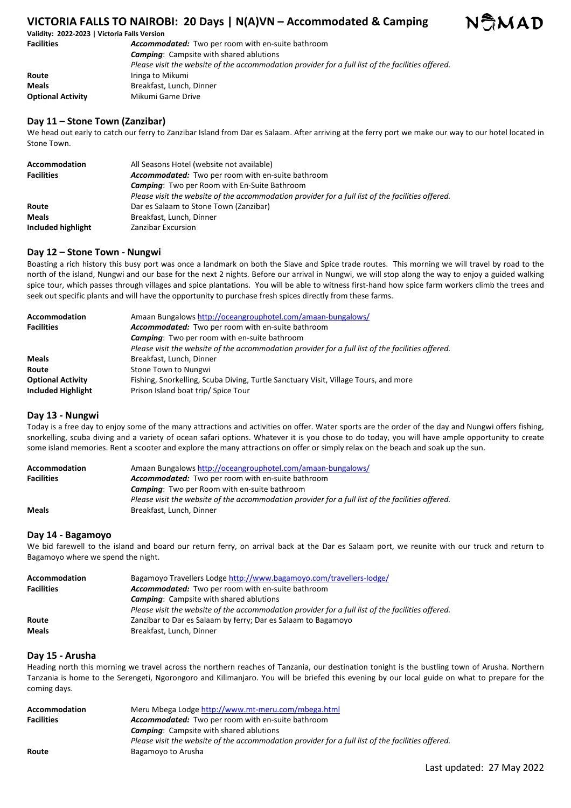

**Validity: 2022-2023 | Victoria Falls Version Facilities** *Accommodated:* Two per room with en-suite bathroom *Camping*: Campsite with shared ablutions *Please visit the website of the accommodation provider for a full list of the facilities offered.*  **Route Iringa to Mikumi** 

**Meals** Breakfast, Lunch, Dinner

**Optional Activity** Mikumi Game Drive

## **Day 11 – Stone Town (Zanzibar)**

We head out early to catch our ferry to Zanzibar Island from Dar es Salaam. After arriving at the ferry port we make our way to our hotel located in Stone Town.

| <b>Accommodation</b> | All Seasons Hotel (website not available)                                                         |
|----------------------|---------------------------------------------------------------------------------------------------|
| <b>Facilities</b>    | Accommodated: Two per room with en-suite bathroom                                                 |
|                      | <b>Camping:</b> Two per Room with En-Suite Bathroom                                               |
|                      | Please visit the website of the accommodation provider for a full list of the facilities offered. |
| Route                | Dar es Salaam to Stone Town (Zanzibar)                                                            |
| <b>Meals</b>         | Breakfast, Lunch, Dinner                                                                          |
| Included highlight   | Zanzibar Excursion                                                                                |

## **Day 12 – Stone Town - Nungwi**

Boasting a rich history this busy port was once a landmark on both the Slave and Spice trade routes. This morning we will travel by road to the north of the island, Nungwi and our base for the next 2 nights. Before our arrival in Nungwi, we will stop along the way to enjoy a guided walking spice tour, which passes through villages and spice plantations. You will be able to witness first-hand how spice farm workers climb the trees and seek out specific plants and will have the opportunity to purchase fresh spices directly from these farms.

| <b>Accommodation</b>      | Amaan Bungalows http://oceangrouphotel.com/amaan-bungalows/                                       |
|---------------------------|---------------------------------------------------------------------------------------------------|
| <b>Facilities</b>         | Accommodated: Two per room with en-suite bathroom                                                 |
|                           | <b>Camping:</b> Two per room with en-suite bathroom                                               |
|                           | Please visit the website of the accommodation provider for a full list of the facilities offered. |
| <b>Meals</b>              | Breakfast, Lunch, Dinner                                                                          |
| Route                     | Stone Town to Nungwi                                                                              |
| <b>Optional Activity</b>  | Fishing, Snorkelling, Scuba Diving, Turtle Sanctuary Visit, Village Tours, and more               |
| <b>Included Highlight</b> | Prison Island boat trip/ Spice Tour                                                               |

## **Day 13 - Nungwi**

Today is a free day to enjoy some of the many attractions and activities on offer. Water sports are the order of the day and Nungwi offers fishing, snorkelling, scuba diving and a variety of ocean safari options. Whatever it is you chose to do today, you will have ample opportunity to create some island memories. Rent a scooter and explore the many attractions on offer or simply relax on the beach and soak up the sun.

| Accommodation     | Amaan Bungalows http://oceangrouphotel.com/amaan-bungalows/                                       |
|-------------------|---------------------------------------------------------------------------------------------------|
| <b>Facilities</b> | <b>Accommodated:</b> Two per room with en-suite bathroom                                          |
|                   | <b>Camping:</b> Two per Room with en-suite bathroom                                               |
|                   | Please visit the website of the accommodation provider for a full list of the facilities offered. |
| <b>Meals</b>      | Breakfast, Lunch, Dinner                                                                          |

## **Day 14 - Bagamoyo**

We bid farewell to the island and board our return ferry, on arrival back at the Dar es Salaam port, we reunite with our truck and return to Bagamoyo where we spend the night.

| Accommodation     | Bagamoyo Travellers Lodge http://www.bagamoyo.com/travellers-lodge/                               |
|-------------------|---------------------------------------------------------------------------------------------------|
| <b>Facilities</b> | Accommodated: Two per room with en-suite bathroom                                                 |
|                   | <b>Camping:</b> Campsite with shared ablutions                                                    |
|                   | Please visit the website of the accommodation provider for a full list of the facilities offered. |
| Route             | Zanzibar to Dar es Salaam by ferry; Dar es Salaam to Bagamoyo                                     |
| <b>Meals</b>      | Breakfast, Lunch, Dinner                                                                          |

## **Day 15 - Arusha**

Heading north this morning we travel across the northern reaches of Tanzania, our destination tonight is the bustling town of Arusha. Northern Tanzania is home to the Serengeti, Ngorongoro and Kilimanjaro. You will be briefed this evening by our local guide on what to prepare for the coming days.

| <b>Accommodation</b> | Meru Mbega Lodge http://www.mt-meru.com/mbega.html                                                |
|----------------------|---------------------------------------------------------------------------------------------------|
| <b>Facilities</b>    | <b>Accommodated:</b> Two per room with en-suite bathroom                                          |
|                      | <b>Camping:</b> Campsite with shared ablutions                                                    |
|                      | Please visit the website of the accommodation provider for a full list of the facilities offered. |
| Route                | Bagamoyo to Arusha                                                                                |